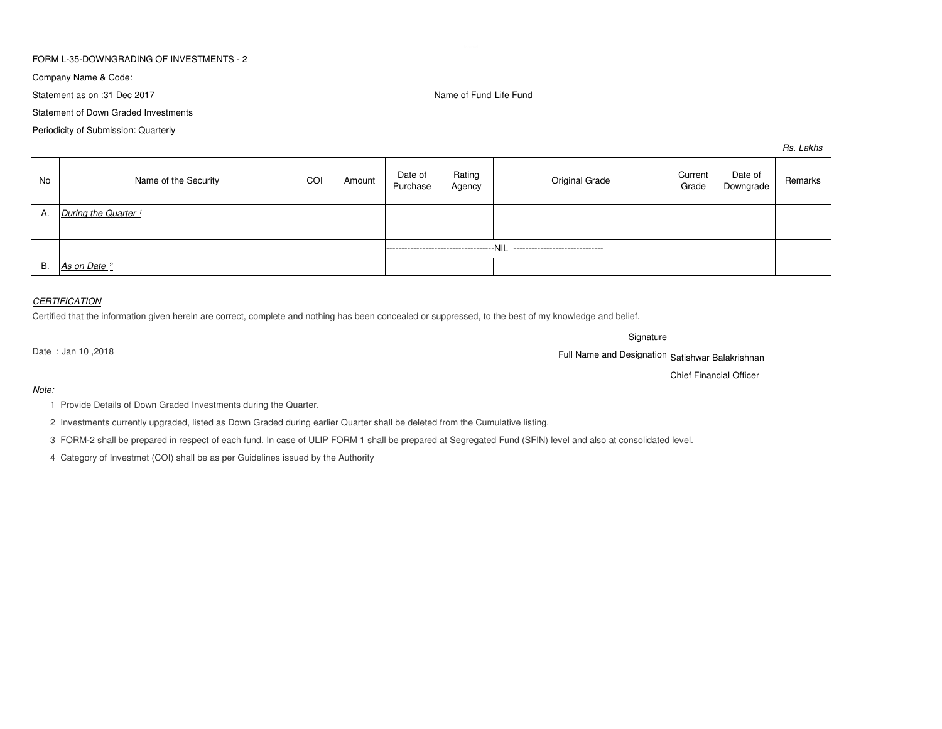## FORM L-35-DOWNGRADING OF INVESTMENTS - 2

Company Name & Code:

Statement as on :31 Dec 2017

Name of Fund Life Fund

Statement of Down Graded Investments

Periodicity of Submission: Quarterly

*Rs. Lakhs*

| No | Name of the Security            | COI | Amount | Date of<br>Purchase                                                        | Rating<br>Agency | Original Grade | Current<br>Grade | Date of<br>Downgrade | Remarks |
|----|---------------------------------|-----|--------|----------------------------------------------------------------------------|------------------|----------------|------------------|----------------------|---------|
| A. | During the Quarter <sup>1</sup> |     |        |                                                                            |                  |                |                  |                      |         |
|    |                                 |     |        |                                                                            |                  |                |                  |                      |         |
|    |                                 |     |        | -----------------------------------NIL<br>-------------------------------- |                  |                |                  |                      |         |
| В. | As on Date <sup>2</sup>         |     |        |                                                                            |                  |                |                  |                      |         |

## *CERTIFICATION*

Certified that the information given herein are correct, complete and nothing has been concealed or suppressed, to the best of my knowledge and belief.

Signature

Date : Jan 10 ,2018

Full Name and Designation Satishwar Balakrishnan

Chief Financial Officer

#### *Note:*

1 Provide Details of Down Graded Investments during the Quarter.

2 Investments currently upgraded, listed as Down Graded during earlier Quarter shall be deleted from the Cumulative listing.

3 FORM-2 shall be prepared in respect of each fund. In case of ULIP FORM 1 shall be prepared at Segregated Fund (SFIN) level and also at consolidated level.

4 Category of Investmet (COI) shall be as per Guidelines issued by the Authority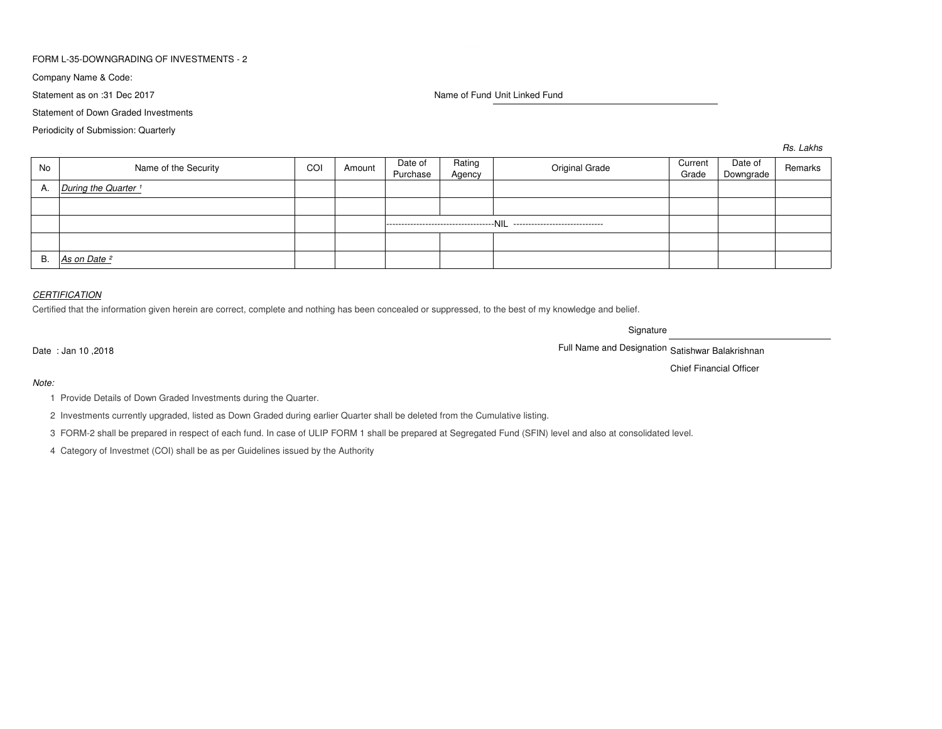## FORM L-35-DOWNGRADING OF INVESTMENTS - 2

Company Name & Code:

Statement as on :31 Dec 2017

Name of Fund Unit Linked Fund

Statement of Down Graded Investments

Periodicity of Submission: Quarterly

*Rs. Lakhs*

| No | Name of the Security            | COI | Amount | Date of<br>Purchase                    | Rating<br>Agency | Original Grade                   | Current<br>Grade | Date of<br>Downgrade | Remarks |
|----|---------------------------------|-----|--------|----------------------------------------|------------------|----------------------------------|------------------|----------------------|---------|
| A. | During the Quarter <sup>1</sup> |     |        |                                        |                  |                                  |                  |                      |         |
|    |                                 |     |        |                                        |                  |                                  |                  |                      |         |
|    |                                 |     |        | -----------------------------------NIL |                  | -------------------------------- |                  |                      |         |
|    |                                 |     |        |                                        |                  |                                  |                  |                      |         |
| В. | As on Date <sup>2</sup>         |     |        |                                        |                  |                                  |                  |                      |         |

#### *CERTIFICATION*

Certified that the information given herein are correct, complete and nothing has been concealed or suppressed, to the best of my knowledge and belief.

**Signature** 

er and Designation Satishwar Balakrishnan Satishwar Balakrishnan Satishwar Balakrishnan Satishwar Balakrishnan Satishwar Balakrishnan Satishwar Balakrishnan Satishwar Balakrishnan Satishwar Balakrishnan Satishwar Balakrish

Chief Financial Officer

Date : Jan 10 ,2018

*Note:*

1 Provide Details of Down Graded Investments during the Quarter.

2 Investments currently upgraded, listed as Down Graded during earlier Quarter shall be deleted from the Cumulative listing.

3 FORM-2 shall be prepared in respect of each fund. In case of ULIP FORM 1 shall be prepared at Segregated Fund (SFIN) level and also at consolidated level.

4 Category of Investmet (COI) shall be as per Guidelines issued by the Authority